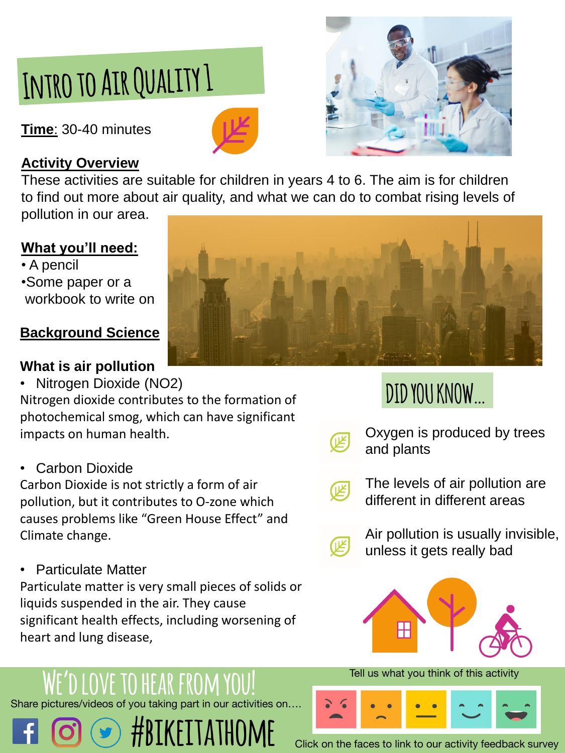# INTRO TO AIR QUALITY 1

**Time**: 30-40 minutes





## **Activity Overview**

These activities are suitable for children in years 4 to 6. The aim is for children to find out more about air quality, and what we can do to combat rising levels of pollution in our area.

### **What you'll need:**

• A pencil •Some paper or a workbook to write on

## **Background Science**

## **What is air pollution**

• Nitrogen Dioxide (NO2)

Nitrogen dioxide contributes to the formation of photochemical smog, which can have significant impacts on human health.

## **Carbon Dioxide**

Carbon Dioxide is not strictly a form of air pollution, but it contributes to O-zone which causes problems like "Green House Effect" and



### Climate change.

• Particulate Matter

Particulate matter is very small pieces of solids or liquids suspended in the air. They cause significant health effects, including worsening of heart and lung disease,

Oxygen is produced by trees and plants



The levels of air pollution are different in different areas

Air pollution is usually invisible, unless it gets really bad



## **DID YOU KNOW…**



#### Tell us what you think of this activity